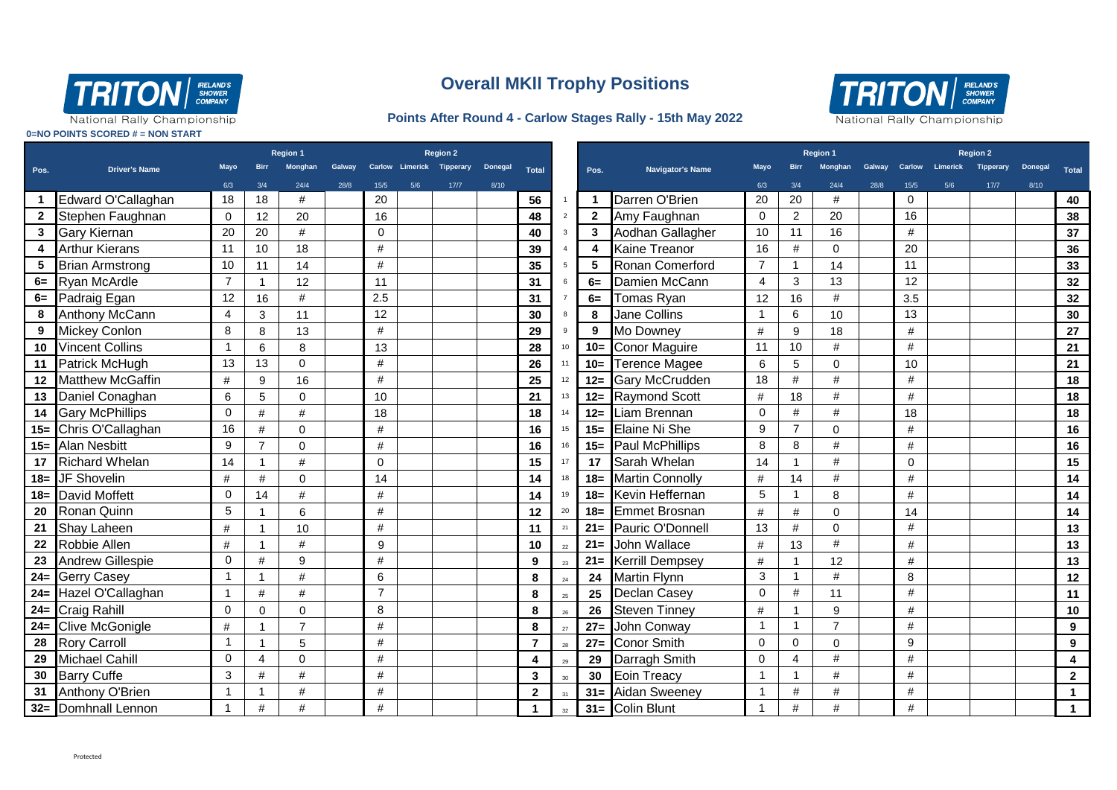

## **Overall MKll Trophy Positions**

## **Points After Round 4 - Carlow Stages Rally - 15th May 2022**



National Rally Championship

**0=NO POINTS SCORED # = NON START**

|      |                         | <b>Region 1</b> |                |                |        | <b>Region 2</b> |     |                           |                |                |        |              |                         | <b>Region 1</b> |                |                |      |             | <b>Region 2</b> |        |      |                         |
|------|-------------------------|-----------------|----------------|----------------|--------|-----------------|-----|---------------------------|----------------|----------------|--------|--------------|-------------------------|-----------------|----------------|----------------|------|-------------|-----------------|--------|------|-------------------------|
| Pos. | <b>Driver's Name</b>    | Mayo            | <b>Birr</b>    | <b>Monghan</b> | Galway |                 |     | Carlow Limerick Tipperary | <b>Donegal</b> | <b>Total</b>   |        | Pos.         | <b>Navigator's Name</b> | <b>Mavo</b>     |                |                |      | Carlow      | Limerick        |        |      | Total                   |
|      |                         | 6/3             | 3/4            | 24/4           | 28/8   | 15/5            | 5/6 | 17/7                      | 8/10           |                |        |              |                         | 6/3             | 3/4            | 24/4           | 28/8 | 15/5        | 5/6             | $17/7$ | 8/10 |                         |
|      | Edward O'Callaghan      | 18              | 18             | #              |        | 20              |     |                           |                | 56             |        |              | Darren O'Brien          | 20              | 20             | #              |      | $\mathbf 0$ |                 |        |      | 40                      |
|      | Stephen Faughnan        | $\mathbf 0$     | 12             | 20             |        | 16              |     |                           |                | 48             |        | $\mathbf{2}$ | Amy Faughnan            | $\mathbf 0$     | $\overline{2}$ | 20             |      | 16          |                 |        |      | 38                      |
| 3    | <b>Gary Kiernan</b>     | 20              | 20             | #              |        | $\mathbf 0$     |     |                           |                | 40             |        | 3            | Aodhan Gallagher        | 10              | 11             | 16             |      | #           |                 |        |      | 37                      |
| 4    | <b>Arthur Kierans</b>   | 11              | 10             | 18             |        | #               |     |                           |                | 39             |        | 4            | Kaine Treanor           | 16              | #              | $\Omega$       |      | 20          |                 |        |      | 36                      |
| 5    | <b>Brian Armstrong</b>  | 10              | 11             | 14             |        | #               |     |                           |                | 35             |        | 5            | Ronan Comerford         | $\overline{7}$  | $\mathbf{1}$   | 14             |      | 11          |                 |        |      | 33                      |
|      | 6= Ryan McArdle         | $\overline{7}$  | $\overline{1}$ | 12             |        | 11              |     |                           |                | 31             |        | 6=           | Damien McCann           | $\overline{4}$  | 3              | 13             |      | 12          |                 |        |      | 32                      |
|      | 6= Padraig Egan         | 12              | 16             | #              |        | 2.5             |     |                           |                | 31             |        | $6=$         | Tomas Ryan              | 12              | 16             | #              |      | 3.5         |                 |        |      | 32                      |
| 8    | <b>Anthony McCann</b>   | 4               | 3              | 11             |        | 12              |     |                           |                | 30             |        | 8            | Jane Collins            |                 | 6              | 10             |      | 13          |                 |        |      | 30                      |
| 9    | <b>Mickey Conlon</b>    | 8               | 8              | 13             |        | #               |     |                           |                | 29             |        | 9            | Mo Downey               | #               | 9              | 18             |      | $\#$        |                 |        |      | 27                      |
| 10   | <b>Vincent Collins</b>  | 1               | 6              | 8              |        | 13              |     |                           |                | 28             | 10     | $10 =$       | <b>Conor Maguire</b>    | 11              | 10             | #              |      | #           |                 |        |      | 21                      |
| 11   | <b>Patrick McHugh</b>   | 13              | 13             | $\mathbf 0$    |        | #               |     |                           |                | 26             |        | $10 =$       | <b>Terence Magee</b>    | 6               | 5              | $\mathbf 0$    |      | 10          |                 |        |      | 21                      |
|      | 12 Matthew McGaffin     | #               | 9              | 16             |        | #               |     |                           |                | 25             |        |              | 12= Gary McCrudden      | 18              | #              | #              |      | #           |                 |        |      | 18                      |
| 13   | Daniel Conaghan         | 6               | 5              | $\Omega$       |        | 10              |     |                           |                | 21             | 13     | $12 =$       | <b>Raymond Scott</b>    | #               | 18             | #              |      | #           |                 |        |      | 18                      |
|      | 14 Gary McPhillips      | 0               | #              | #              |        | 18              |     |                           |                | 18             |        | $12 =$       | Liam Brennan            | 0               | #              | #              |      | 18          |                 |        |      | 18                      |
|      | 15= Chris O'Callaghan   | 16              | $\#$           | $\Omega$       |        | #               |     |                           |                | 16             | 15     | $15 =$       | Elaine Ni She           | 9               | $\overline{7}$ | $\Omega$       |      | #           |                 |        |      | 16                      |
|      | 15= Alan Nesbitt        | 9               | $\overline{7}$ | $\mathbf 0$    |        | #               |     |                           |                | 16             | 16     | $15 =$       | Paul McPhillips         | 8               | 8              | #              |      | #           |                 |        |      | 16                      |
| 17   | <b>Richard Whelan</b>   | 14              |                | #              |        | $\Omega$        |     |                           |                | 15             | 17     | 17           | Sarah Whelan            | 14              |                | #              |      | $\Omega$    |                 |        |      | 15                      |
|      | 18= JF Shovelin         | #               | $\#$           | 0              |        | 14              |     |                           |                | 14             |        |              | 18 Martin Connolly      | #               | 14             | #              |      | #           |                 |        |      | 14                      |
|      | 18= David Moffett       | 0               | 14             | #              |        | #               |     |                           |                | 14             | 19     | $18 =$       | Kevin Heffernan         | 5               | $\overline{1}$ | 8              |      | #           |                 |        |      | 14                      |
| 20   | Ronan Quinn             | 5               | -1             | 6              |        | #               |     |                           |                | 12             | 20     | $18 =$       | <b>Emmet Brosnan</b>    | #               | #              | $\Omega$       |      | 14          |                 |        |      | 14                      |
| 21   | Shay Laheen             | #               |                | 10             |        | #               |     |                           |                | 11             |        | $21 =$       | Pauric O'Donnell        | 13              | #              | $\mathbf 0$    |      | #           |                 |        |      | 13                      |
| 22   | Robbie Allen            | #               |                | #              |        | 9               |     |                           |                | 10             | 22     | $21 =$       | John Wallace            | #               | 13             | #              |      | $\#$        |                 |        |      | 13                      |
| 23   | <b>Andrew Gillespie</b> | $\mathbf 0$     | #              | 9              |        | #               |     |                           |                | 9              | 23     | $21 =$       | <b>Kerrill Dempsey</b>  | #               | -1             | 12             |      | #           |                 |        |      | 13                      |
|      | 24= Gerry Casey         | 1               |                | #              |        | 6               |     |                           |                | 8              | 24     | 24           | <b>Martin Flynn</b>     | 3               | -1             | #              |      | 8           |                 |        |      | 12                      |
|      | 24= Hazel O'Callaghan   | $\mathbf{1}$    | #              | #              |        | $\overline{7}$  |     |                           |                | 8              | $25\,$ | 25           | <b>Declan Casey</b>     | 0               | #              | 11             |      | #           |                 |        |      | 11                      |
|      | 24= Craig Rahill        | $\Omega$        | $\Omega$       | $\Omega$       |        | 8               |     |                           |                | 8              | 26     | 26           | <b>Steven Tinney</b>    | #               | $\mathbf{1}$   | 9              |      | #           |                 |        |      | 10                      |
|      | 24= Clive McGonigle     | #               | - 1            | $\overline{7}$ |        | #               |     |                           |                | 8              | 27     | $27 =$       | John Conway             |                 | $\mathbf{1}$   | $\overline{7}$ |      | #           |                 |        |      | 9                       |
| 28   | <b>Rory Carroll</b>     |                 | $\overline{1}$ | 5              |        | #               |     |                           |                | $\overline{7}$ | 28     | $27 =$       | <b>Conor Smith</b>      | $\Omega$        | $\mathbf 0$    | $\mathbf 0$    |      | 9           |                 |        |      | 9                       |
| 29   | <b>Michael Cahill</b>   | $\mathbf 0$     | $\overline{4}$ | $\Omega$       |        | $\#$            |     |                           |                | 4              | 29     | 29           | Darragh Smith           | $\Omega$        | 4              | $\#$           |      | $\#$        |                 |        |      | $\overline{\mathbf{4}}$ |
| 30   | <b>Barry Cuffe</b>      | 3               | #              | #              |        | #               |     |                           |                | 3              | 30     | 30           | <b>Eoin Treacy</b>      | -1              | $\mathbf{1}$   | #              |      | #           |                 |        |      | $\mathbf{2}$            |
| 31   | Anthony O'Brien         | $\mathbf{1}$    |                | #              |        | #               |     |                           |                | $\overline{2}$ |        | $31 =$       | Aidan Sweeney           |                 | #              | #              |      | #           |                 |        |      | $\mathbf{1}$            |
|      | 32= Domhnall Lennon     | 1               | $\#$           | #              |        | #               |     |                           |                | 1              | 32     |              | 31= Colin Blunt         |                 | #              | #              |      | #           |                 |        |      |                         |